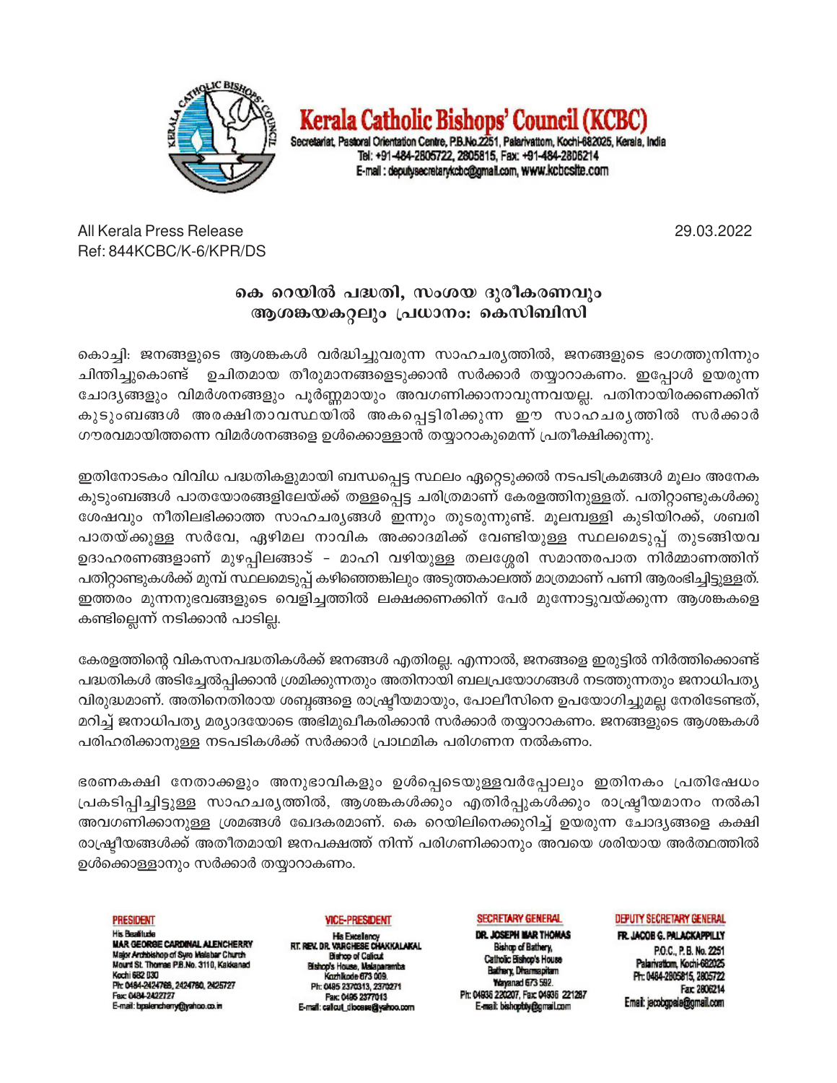

Kerala Catholic Bishops' Council (KCBC)

Secretariat, Pastoral Orientation Centre, P.B.No.2251, Palarivattom, Kochi-682025, Kerala, India Tel: +91-484-2805722, 2805815, Fax: +91-484-2806214 E-mail: deputysecretarykcbc@gmail.com, www.kcbcsite.com

29.03.2022

All Kerala Press Release Ref: 844KCBC/K-6/KPR/DS

## കെ റെയിൽ പദ്ധതി, സംശയ ദുരീകരണവും ആശങ്കയകറ്റലും പ്രധാനം: കെസിബിസി

കൊച്ചി: ജനങ്ങളുടെ ആശങ്കകൾ വർദ്ധിച്ചുവരുന്ന സാഹചര്യത്തിൽ, ജനങ്ങളുടെ ഭാഗത്തുനിന്നും ഉചിതമായ തീരുമാനങ്ങളെടുക്കാൻ സർക്കാർ തയ്യാറാകണം. ഇപ്പോൾ ഉയരുന്ന ചിന്തിച്ചുകൊണ്ട് ചോദ്യങ്ങളും വിമർശനങ്ങളും പൂർണ്ണമായും അവഗണിക്കാനാവുന്നവയല്ല. പതിനായിരക്കണക്കിന് കുടുംബങ്ങൾ അരക്ഷിതാവസ്ഥയിൽ അകപ്പെട്ടിരിക്കുന്ന ഈ സാഹചര്യത്തിൽ സർക്കാർ ഗൗരവമായിത്തന്നെ വിമർശനങ്ങളെ ഉൾക്കൊള്ളാൻ തയ്യാറാകുമെന്ന് പ്രതീക്ഷിക്കുന്നു.

ഇതിനോടകം വിവിധ പദ്ധതികളുമായി ബന്ധപ്പെട്ട സ്ഥലം ഏറ്റെടുക്കൽ നടപടിക്രമങ്ങൾ മൂലം അനേക കുടുംബങ്ങൾ പാതയോരങ്ങളിലേയ്ക്ക് തള്ളപ്പെട്ട ചരിത്രമാണ് കേരളത്തിനുള്ളത്. പതിറ്റാണ്ടുകൾക്കു ശേഷവും നീതിലഭിക്കാത്ത സാഹചര്യങ്ങൾ ഇന്നും തുടരുന്നുണ്ട്. മൂലമ്പള്ളി കുടിയിറക്ക്, ശബരി പാതയ്ക്കുള്ള സർവേ, ഏഴിമല നാവിക അക്കാദമിക്ക് വേണ്ടിയുള്ള സ്ഥലമെടുപ്പ് തുടങ്ങിയവ ഉദാഹരണങ്ങളാണ് മുഴപ്പിലങ്ങാട് - മാഹി വഴിയുള്ള തലശ്ശേരി സമാന്തരപാത നിർമ്മാണത്തിന് പതിറ്റാണ്ടുകൾക്ക് മുമ്പ് സ്ഥലമെടുപ്പ് കഴിഞ്ഞെങ്കിലും അടുത്തകാലത്ത് മാത്രമാണ് പണി ആരംഭിച്ചിട്ടുള്ളത്. ഇത്തരം മുന്നനുഭവങ്ങളുടെ വെളിച്ചത്തിൽ ലക്ഷക്കണക്കിന് പേർ മുന്നോട്ടുവയ്ക്കുന്ന ആശങ്കകളെ കണ്ടില്ലെന്ന് നടിക്കാൻ പാടില്ല.

കേരളത്തിന്റെ വികസനപദ്ധതികൾക്ക് ജനങ്ങൾ എതിരല്ല. എന്നാൽ, ജനങ്ങളെ ഇരുട്ടിൽ നിർത്തിക്കൊണ്ട് പദ്ധതികൾ അടിച്ചേൽപ്പിക്കാൻ ശ്രമിക്കുന്നതും അതിനായി ബലപ്രയോഗങ്ങൾ നടത്തുന്നതും ജനാധിപത്യ വിരുദ്ധമാണ്. അതിനെതിരായ ശബ്ദങ്ങളെ രാഷ്ട്രീയമായും, പോലീസിനെ ഉപയോഗിച്ചുമല്ല നേരിടേണ്ടത്, മറിച്ച് ജനാധിപത്യ മര്യാദയോടെ അഭിമുഖീകരിക്കാൻ സർക്കാർ തയ്യാറാകണം. ജനങ്ങളുടെ ആശങ്കകൾ പരിഹരിക്കാനുള്ള നടപടികൾക്ക് സർക്കാർ പ്രാഥമിക പരിഗണന നൽകണം.

ഭരണകക്ഷി നേതാക്കളും അനുഭാവികളും ഉൾപ്പെടെയുള്ളവർപ്പോലും ഇതിനകം പ്രതിഷേധം പ്രകടിപ്പിച്ചിട്ടുള്ള സാഹചര്യത്തിൽ, ആശങ്കകൾക്കും എതിർപ്പുകൾക്കും രാഷ്ട്രീയമാനം നൽകി അവഗണിക്കാനുള്ള ശ്രമങ്ങൾ ഖേദകരമാണ്. കെ റെയിലിനെക്കുറിച്ച് ഉയരുന്ന ചോദ്യങ്ങളെ കക്ഷി രാഷ്ട്രീയങ്ങൾക്ക് അതീതമായി ജനപക്ഷത്ത് നിന്ന് പരിഗണിക്കാനും അവയെ ശരിയായ അർത്ഥത്തിൽ ഉൾക്കൊള്ളാനും സർക്കാർ തയ്യാറാകണം.

**PRESIDENT His Roofbrio HS Dealings<br>MAR GEORGE CARDINAL ALENCHERRY**<br>Major Archolshop of Syro Malabar Church<br>Mount St. Thomas P.B.No. 3110, Kakkanad Kochi 682 030 Pic 0484-2424768, 2424780, 2425727 Fax: 0484-2422727 E-mail: bpalencheny@yahoo.co.in

## **VICE-PRESIDENT**

**His Excellency** RT. REV. DR. VARGHESE CHAKKALAKAL **Bishop of Calicut** Bishop's House, Malaparamba Kazhlkode 673.009 Ph: 0485 2370313, 2370271 Fax: 0495 2377013 E-mail: calcut\_dioesse@yahoo.com

## SECRETARY GENERAL

DR. JOSEPH MAR THOMAS **Bishop of Bathery,** Catholic Bishop's House Bathery, Dharmapitam Wayanad 673 592. Ph: 04936 220207, Fax: 04936 221287 E-mail: bishoptdy@gmail.com

## DEPUTY SECRETARY GENERAL

FR. JACOB G. PALACKAPPILLY P.O.C., P.B. No. 2251 Palarivatiom, Kochi-682025 Ph: 0484-2805815, 2805722 Fax: 2806214 Email: jacobgpaia@gmail.com